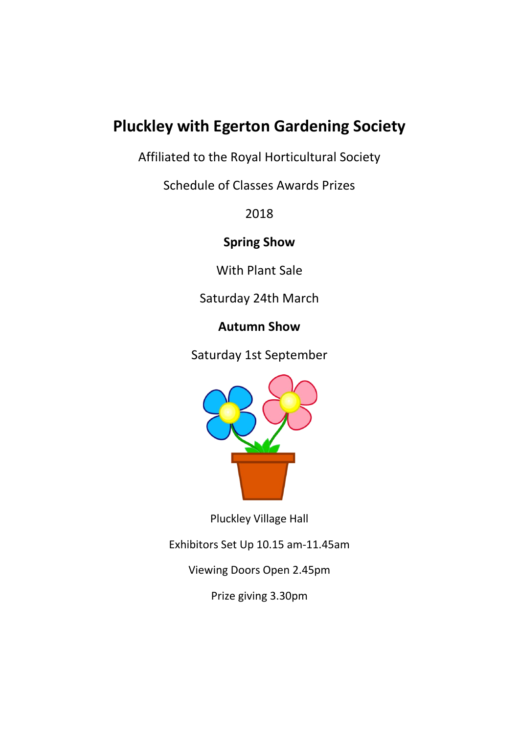# **Pluckley with Egerton Gardening Society**

Affiliated to the Royal Horticultural Society

Schedule of Classes Awards Prizes

2018

**Spring Show**

With Plant Sale

Saturday 24th March

# **Autumn Show**

Saturday 1st September



Pluckley Village Hall

Exhibitors Set Up 10.15 am-11.45am

Viewing Doors Open 2.45pm

Prize giving 3.30pm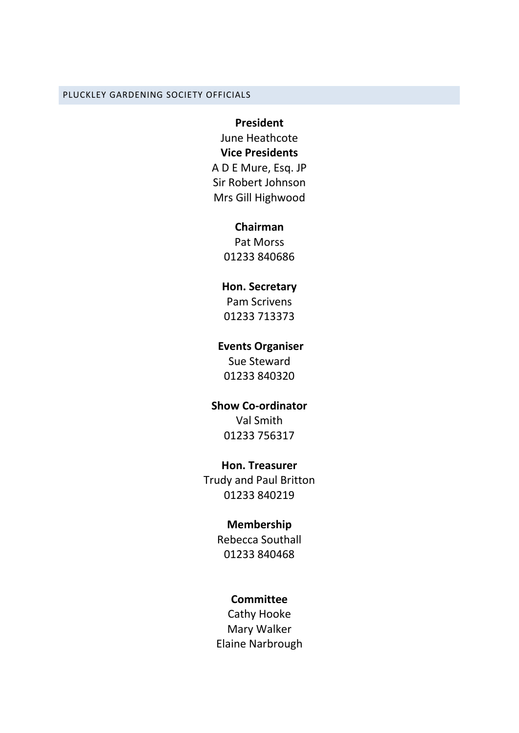#### PLUCKLEY GARDENING SOCIETY OFFICIALS

#### **President**

June Heathcote **Vice Presidents** A D E Mure, Esq. JP Sir Robert Johnson Mrs Gill Highwood

#### **Chairman**

Pat Morss 01233 840686

#### **Hon. Secretary**

Pam Scrivens 01233 713373

#### **Events Organiser**

Sue Steward 01233 840320

### **Show Co-ordinator**

Val Smith 01233 756317

#### **Hon. Treasurer**

Trudy and Paul Britton 01233 840219

### **Membership**

Rebecca Southall 01233 840468

#### **Committee**

Cathy Hooke Mary Walker Elaine Narbrough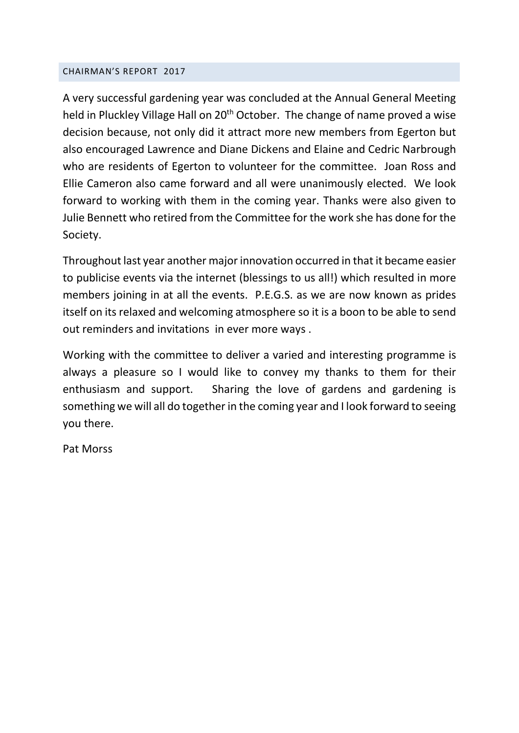#### CHAIRMAN'S REPORT 2017

A very successful gardening year was concluded at the Annual General Meeting held in Pluckley Village Hall on 20<sup>th</sup> October. The change of name proved a wise decision because, not only did it attract more new members from Egerton but also encouraged Lawrence and Diane Dickens and Elaine and Cedric Narbrough who are residents of Egerton to volunteer for the committee. Joan Ross and Ellie Cameron also came forward and all were unanimously elected. We look forward to working with them in the coming year. Thanks were also given to Julie Bennett who retired from the Committee for the work she has done for the Society.

Throughout last year another major innovation occurred in that it became easier to publicise events via the internet (blessings to us all!) which resulted in more members joining in at all the events. P.E.G.S. as we are now known as prides itself on its relaxed and welcoming atmosphere so it is a boon to be able to send out reminders and invitations in ever more ways .

Working with the committee to deliver a varied and interesting programme is always a pleasure so I would like to convey my thanks to them for their enthusiasm and support. Sharing the love of gardens and gardening is something we will all do together in the coming year and I look forward to seeing you there.

Pat Morss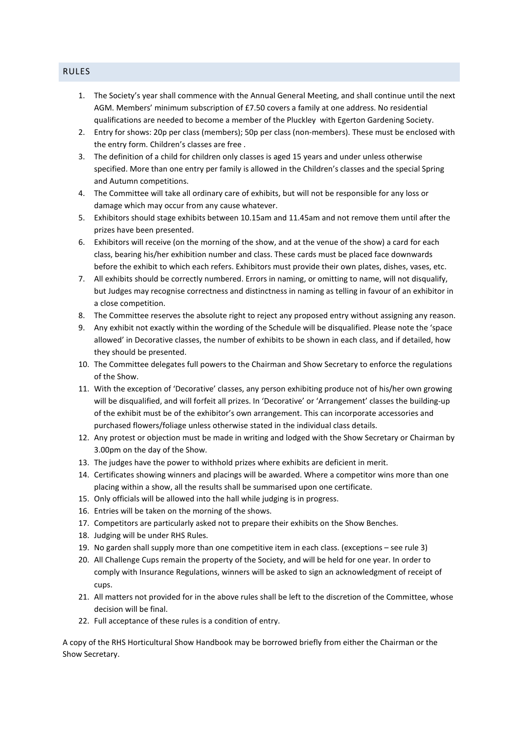- 1. The Society's year shall commence with the Annual General Meeting, and shall continue until the next AGM. Members' minimum subscription of £7.50 covers a family at one address. No residential qualifications are needed to become a member of the Pluckley with Egerton Gardening Society.
- 2. Entry for shows: 20p per class (members); 50p per class (non-members). These must be enclosed with the entry form. Children's classes are free .
- 3. The definition of a child for children only classes is aged 15 years and under unless otherwise specified. More than one entry per family is allowed in the Children's classes and the special Spring and Autumn competitions.
- 4. The Committee will take all ordinary care of exhibits, but will not be responsible for any loss or damage which may occur from any cause whatever.
- 5. Exhibitors should stage exhibits between 10.15am and 11.45am and not remove them until after the prizes have been presented.
- 6. Exhibitors will receive (on the morning of the show, and at the venue of the show) a card for each class, bearing his/her exhibition number and class. These cards must be placed face downwards before the exhibit to which each refers. Exhibitors must provide their own plates, dishes, vases, etc.
- 7. All exhibits should be correctly numbered. Errors in naming, or omitting to name, will not disqualify, but Judges may recognise correctness and distinctness in naming as telling in favour of an exhibitor in a close competition.
- 8. The Committee reserves the absolute right to reject any proposed entry without assigning any reason.
- 9. Any exhibit not exactly within the wording of the Schedule will be disqualified. Please note the 'space allowed' in Decorative classes, the number of exhibits to be shown in each class, and if detailed, how they should be presented.
- 10. The Committee delegates full powers to the Chairman and Show Secretary to enforce the regulations of the Show.
- 11. With the exception of 'Decorative' classes, any person exhibiting produce not of his/her own growing will be disqualified, and will forfeit all prizes. In 'Decorative' or 'Arrangement' classes the building-up of the exhibit must be of the exhibitor's own arrangement. This can incorporate accessories and purchased flowers/foliage unless otherwise stated in the individual class details.
- 12. Any protest or objection must be made in writing and lodged with the Show Secretary or Chairman by 3.00pm on the day of the Show.
- 13. The judges have the power to withhold prizes where exhibits are deficient in merit.
- 14. Certificates showing winners and placings will be awarded. Where a competitor wins more than one placing within a show, all the results shall be summarised upon one certificate.
- 15. Only officials will be allowed into the hall while judging is in progress.
- 16. Entries will be taken on the morning of the shows.
- 17. Competitors are particularly asked not to prepare their exhibits on the Show Benches.
- 18. Judging will be under RHS Rules.
- 19. No garden shall supply more than one competitive item in each class. (exceptions see rule 3)
- 20. All Challenge Cups remain the property of the Society, and will be held for one year. In order to comply with Insurance Regulations, winners will be asked to sign an acknowledgment of receipt of cups.
- 21. All matters not provided for in the above rules shall be left to the discretion of the Committee, whose decision will be final.
- 22. Full acceptance of these rules is a condition of entry.

A copy of the RHS Horticultural Show Handbook may be borrowed briefly from either the Chairman or the Show Secretary.

#### RULES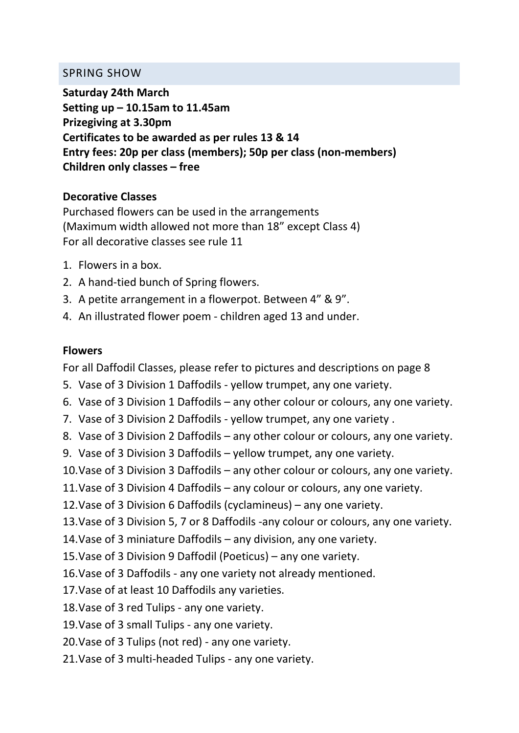### SPRING SHOW

**Saturday 24th March Setting up – 10.15am to 11.45am Prizegiving at 3.30pm Certificates to be awarded as per rules 13 & 14 Entry fees: 20p per class (members); 50p per class (non-members) Children only classes – free** 

### **Decorative Classes**

Purchased flowers can be used in the arrangements (Maximum width allowed not more than 18" except Class 4) For all decorative classes see rule 11

- 1. Flowers in a box.
- 2. A hand-tied bunch of Spring flowers.
- 3. A petite arrangement in a flowerpot. Between 4" & 9".
- 4. An illustrated flower poem children aged 13 and under.

### **Flowers**

For all Daffodil Classes, please refer to pictures and descriptions on page 8

- 5. Vase of 3 Division 1 Daffodils yellow trumpet, any one variety.
- 6. Vase of 3 Division 1 Daffodils any other colour or colours, any one variety.
- 7. Vase of 3 Division 2 Daffodils yellow trumpet, any one variety .
- 8. Vase of 3 Division 2 Daffodils any other colour or colours, any one variety.
- 9. Vase of 3 Division 3 Daffodils yellow trumpet, any one variety.
- 10.Vase of 3 Division 3 Daffodils any other colour or colours, any one variety.
- 11.Vase of 3 Division 4 Daffodils any colour or colours, any one variety.
- 12.Vase of 3 Division 6 Daffodils (cyclamineus) any one variety.
- 13.Vase of 3 Division 5, 7 or 8 Daffodils -any colour or colours, any one variety.
- 14.Vase of 3 miniature Daffodils any division, any one variety.
- 15.Vase of 3 Division 9 Daffodil (Poeticus) any one variety.
- 16.Vase of 3 Daffodils any one variety not already mentioned.
- 17.Vase of at least 10 Daffodils any varieties.
- 18.Vase of 3 red Tulips any one variety.
- 19.Vase of 3 small Tulips any one variety.
- 20.Vase of 3 Tulips (not red) any one variety.
- 21.Vase of 3 multi-headed Tulips any one variety.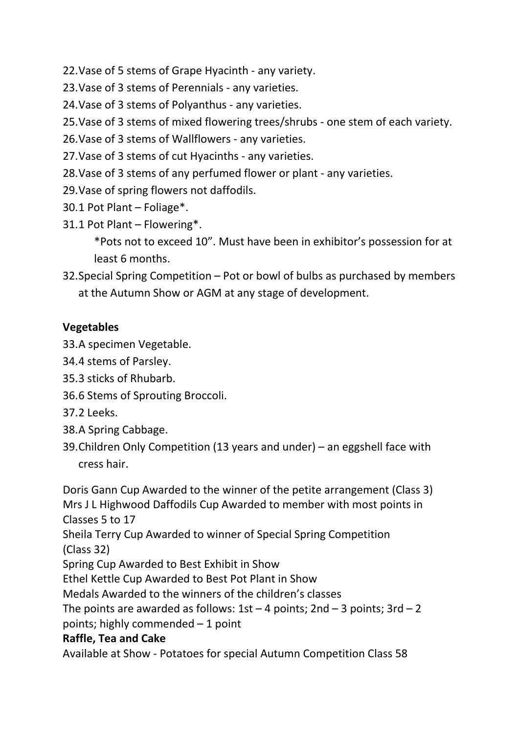22.Vase of 5 stems of Grape Hyacinth - any variety.

23.Vase of 3 stems of Perennials - any varieties.

24.Vase of 3 stems of Polyanthus - any varieties.

25.Vase of 3 stems of mixed flowering trees/shrubs - one stem of each variety.

26.Vase of 3 stems of Wallflowers - any varieties.

27.Vase of 3 stems of cut Hyacinths - any varieties.

28.Vase of 3 stems of any perfumed flower or plant - any varieties.

29.Vase of spring flowers not daffodils.

30.1 Pot Plant – Foliage\*.

31.1 Pot Plant – Flowering\*.

\*Pots not to exceed 10". Must have been in exhibitor's possession for at least 6 months.

32.Special Spring Competition – Pot or bowl of bulbs as purchased by members at the Autumn Show or AGM at any stage of development.

# **Vegetables**

33.A specimen Vegetable.

34.4 stems of Parsley.

35.3 sticks of Rhubarb.

36.6 Stems of Sprouting Broccoli.

37.2 Leeks.

38.A Spring Cabbage.

39.Children Only Competition (13 years and under) – an eggshell face with cress hair.

Doris Gann Cup Awarded to the winner of the petite arrangement (Class 3) Mrs J L Highwood Daffodils Cup Awarded to member with most points in Classes 5 to 17 Sheila Terry Cup Awarded to winner of Special Spring Competition (Class 32) Spring Cup Awarded to Best Exhibit in Show Ethel Kettle Cup Awarded to Best Pot Plant in Show Medals Awarded to the winners of the children's classes The points are awarded as follows:  $1st - 4$  points;  $2nd - 3$  points;  $3rd - 2$ points; highly commended – 1 point **Raffle, Tea and Cake** 

Available at Show - Potatoes for special Autumn Competition Class 58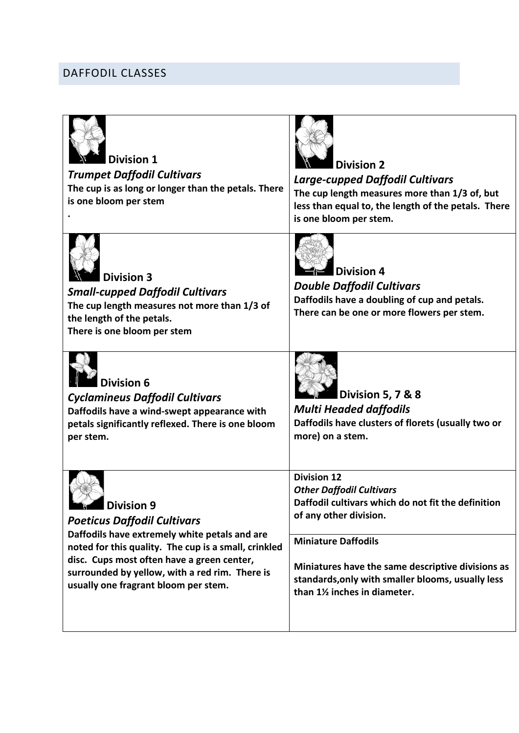# DAFFODIL CLASSES

| <b>Division 1</b><br><b>Trumpet Daffodil Cultivars</b><br>The cup is as long or longer than the petals. There<br>is one bloom per stem                                                                                                                                                            | <b>Division 2</b><br><b>Large-cupped Daffodil Cultivars</b><br>The cup length measures more than 1/3 of, but<br>less than equal to, the length of the petals. There<br>is one bloom per stem.                                                                                                                |
|---------------------------------------------------------------------------------------------------------------------------------------------------------------------------------------------------------------------------------------------------------------------------------------------------|--------------------------------------------------------------------------------------------------------------------------------------------------------------------------------------------------------------------------------------------------------------------------------------------------------------|
| <b>Division 3</b><br><b>Small-cupped Daffodil Cultivars</b><br>The cup length measures not more than 1/3 of<br>the length of the petals.<br>There is one bloom per stem                                                                                                                           | <b>Division 4</b><br><b>Double Daffodil Cultivars</b><br>Daffodils have a doubling of cup and petals.<br>There can be one or more flowers per stem.                                                                                                                                                          |
| <b>Division 6</b><br><b>Cyclamineus Daffodil Cultivars</b><br>Daffodils have a wind-swept appearance with<br>petals significantly reflexed. There is one bloom<br>per stem.                                                                                                                       | Division 5, 7 & 8<br><b>Multi Headed daffodils</b><br>Daffodils have clusters of florets (usually two or<br>more) on a stem.                                                                                                                                                                                 |
| Division 9<br><b>Poeticus Daffodil Cultivars</b><br>Daffodils have extremely white petals and are<br>noted for this quality. The cup is a small, crinkled<br>disc. Cups most often have a green center,<br>surrounded by yellow, with a red rim. There is<br>usually one fragrant bloom per stem. | <b>Division 12</b><br><b>Other Daffodil Cultivars</b><br>Daffodil cultivars which do not fit the definition<br>of any other division.<br><b>Miniature Daffodils</b><br>Miniatures have the same descriptive divisions as<br>standards, only with smaller blooms, usually less<br>than 1% inches in diameter. |
|                                                                                                                                                                                                                                                                                                   |                                                                                                                                                                                                                                                                                                              |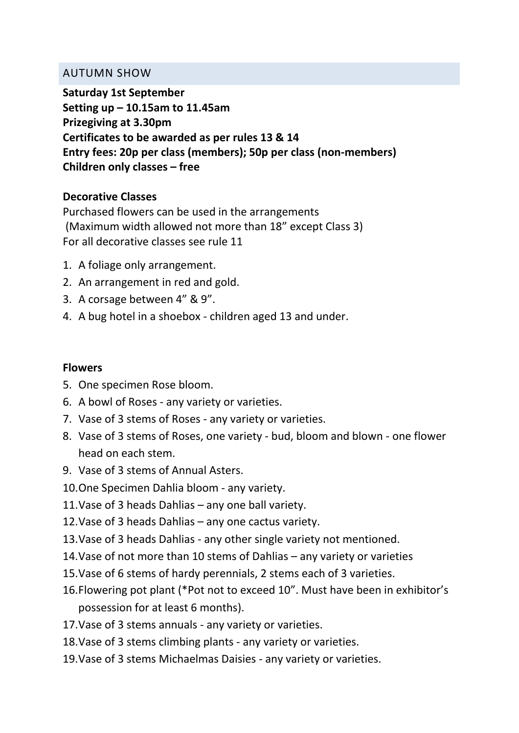### AUTUMN SHOW

**Saturday 1st September Setting up – 10.15am to 11.45am Prizegiving at 3.30pm Certificates to be awarded as per rules 13 & 14 Entry fees: 20p per class (members); 50p per class (non-members) Children only classes – free** 

## **Decorative Classes**

Purchased flowers can be used in the arrangements (Maximum width allowed not more than 18" except Class 3) For all decorative classes see rule 11

- 1. A foliage only arrangement.
- 2. An arrangement in red and gold.
- 3. A corsage between 4" & 9".
- 4. A bug hotel in a shoebox children aged 13 and under.

### **Flowers**

- 5. One specimen Rose bloom.
- 6. A bowl of Roses any variety or varieties.
- 7. Vase of 3 stems of Roses any variety or varieties.
- 8. Vase of 3 stems of Roses, one variety bud, bloom and blown one flower head on each stem.
- 9. Vase of 3 stems of Annual Asters.
- 10.One Specimen Dahlia bloom any variety.
- 11.Vase of 3 heads Dahlias any one ball variety.
- 12.Vase of 3 heads Dahlias any one cactus variety.
- 13.Vase of 3 heads Dahlias any other single variety not mentioned.
- 14.Vase of not more than 10 stems of Dahlias any variety or varieties
- 15.Vase of 6 stems of hardy perennials, 2 stems each of 3 varieties.
- 16.Flowering pot plant (\*Pot not to exceed 10". Must have been in exhibitor's possession for at least 6 months).
- 17.Vase of 3 stems annuals any variety or varieties.
- 18.Vase of 3 stems climbing plants any variety or varieties.
- 19.Vase of 3 stems Michaelmas Daisies any variety or varieties.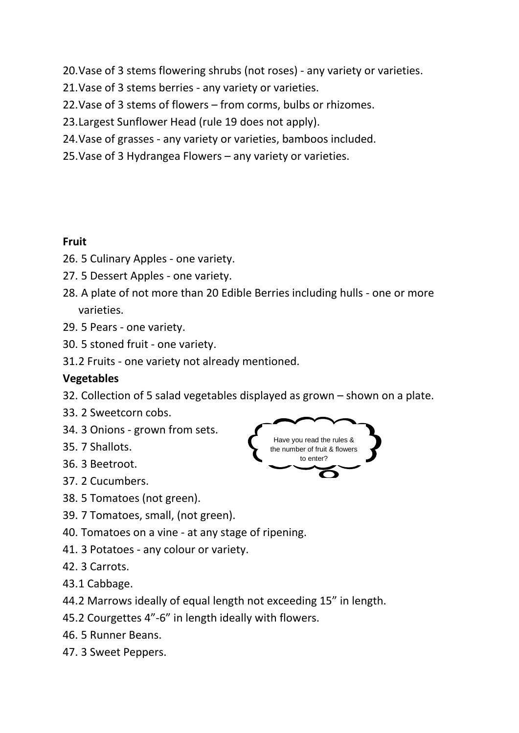20.Vase of 3 stems flowering shrubs (not roses) - any variety or varieties.

- 21.Vase of 3 stems berries any variety or varieties.
- 22.Vase of 3 stems of flowers from corms, bulbs or rhizomes.
- 23.Largest Sunflower Head (rule 19 does not apply).
- 24.Vase of grasses any variety or varieties, bamboos included.
- 25.Vase of 3 Hydrangea Flowers any variety or varieties.

### **Fruit**

- 26. 5 Culinary Apples one variety.
- 27. 5 Dessert Apples one variety.
- 28. A plate of not more than 20 Edible Berries including hulls one or more varieties.
- 29. 5 Pears one variety.
- 30. 5 stoned fruit one variety.
- 31.2 Fruits one variety not already mentioned.

### **Vegetables**

- 32. Collection of 5 salad vegetables displayed as grown shown on a plate.
- 33. 2 Sweetcorn cobs.
- 34. 3 Onions grown from sets.
- 35. 7 Shallots.
- 36. 3 Beetroot.
- 37. 2 Cucumbers.
- 38. 5 Tomatoes (not green).
- 39. 7 Tomatoes, small, (not green).
- 40. Tomatoes on a vine at any stage of ripening.
- 41. 3 Potatoes any colour or variety.
- 42. 3 Carrots.
- 43.1 Cabbage.
- 44.2 Marrows ideally of equal length not exceeding 15" in length.
- 45.2 Courgettes 4"-6" in length ideally with flowers.
- 46. 5 Runner Beans.
- 47. 3 Sweet Peppers.

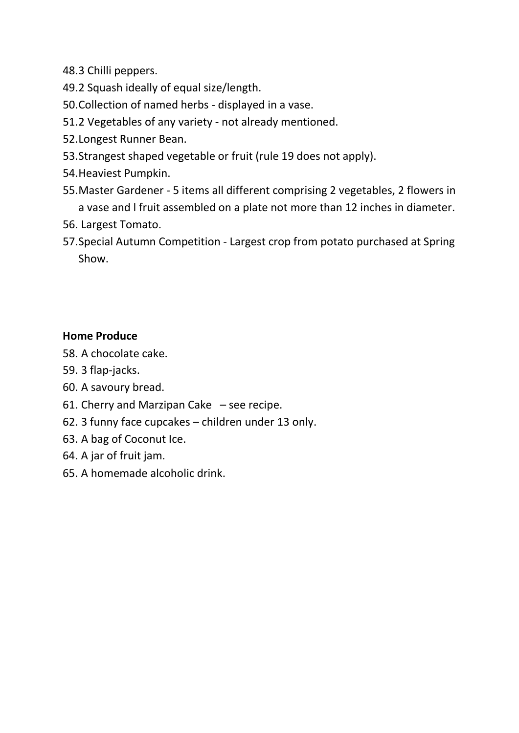- 48.3 Chilli peppers.
- 49.2 Squash ideally of equal size/length.
- 50.Collection of named herbs displayed in a vase.
- 51.2 Vegetables of any variety not already mentioned.
- 52.Longest Runner Bean.
- 53.Strangest shaped vegetable or fruit (rule 19 does not apply).
- 54.Heaviest Pumpkin.
- 55.Master Gardener 5 items all different comprising 2 vegetables, 2 flowers in a vase and l fruit assembled on a plate not more than 12 inches in diameter.
- 56. Largest Tomato.
- 57.Special Autumn Competition Largest crop from potato purchased at Spring Show.

### **Home Produce**

- 58. A chocolate cake.
- 59. 3 flap-jacks.
- 60. A savoury bread.
- 61. Cherry and Marzipan Cake  $-$  see recipe.
- 62. 3 funny face cupcakes children under 13 only.
- 63. A bag of Coconut Ice.
- 64. A jar of fruit jam.
- 65. A homemade alcoholic drink.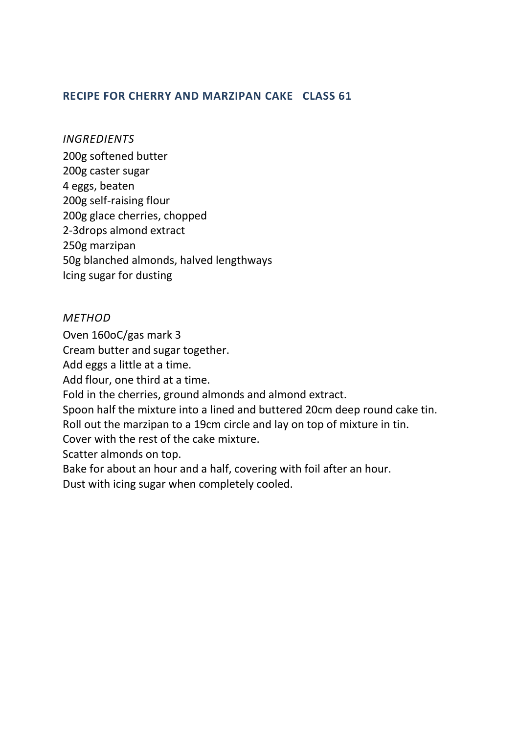### **RECIPE FOR CHERRY AND MARZIPAN CAKE CLASS 61**

#### *INGREDIENTS*

200g softened butter 200g caster sugar 4 eggs, beaten 200g self-raising flour 200g glace cherries, chopped 2-3drops almond extract 250g marzipan 50g blanched almonds, halved lengthways Icing sugar for dusting

#### *METHOD*

Oven 160oC/gas mark 3

Cream butter and sugar together.

Add eggs a little at a time.

Add flour, one third at a time.

Fold in the cherries, ground almonds and almond extract.

Spoon half the mixture into a lined and buttered 20cm deep round cake tin.

Roll out the marzipan to a 19cm circle and lay on top of mixture in tin.

Cover with the rest of the cake mixture.

Scatter almonds on top.

Bake for about an hour and a half, covering with foil after an hour.

Dust with icing sugar when completely cooled.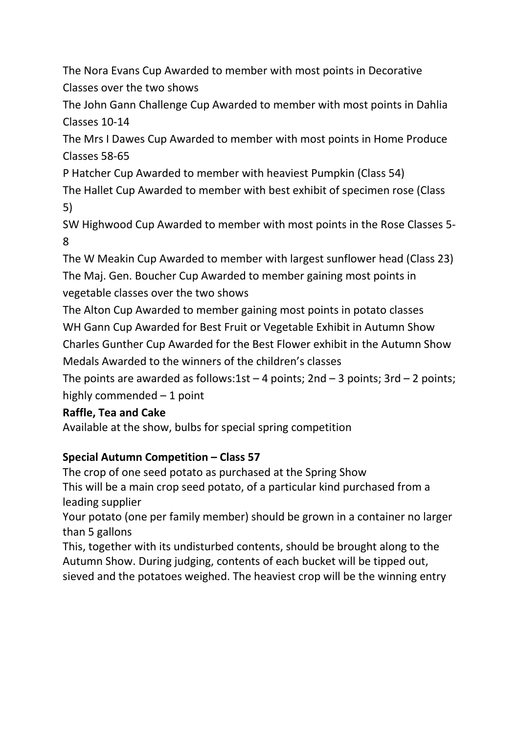The Nora Evans Cup Awarded to member with most points in Decorative Classes over the two shows

The John Gann Challenge Cup Awarded to member with most points in Dahlia Classes 10-14

The Mrs I Dawes Cup Awarded to member with most points in Home Produce Classes 58-65

P Hatcher Cup Awarded to member with heaviest Pumpkin (Class 54)

The Hallet Cup Awarded to member with best exhibit of specimen rose (Class 5)

SW Highwood Cup Awarded to member with most points in the Rose Classes 5- 8

The W Meakin Cup Awarded to member with largest sunflower head (Class 23) The Maj. Gen. Boucher Cup Awarded to member gaining most points in vegetable classes over the two shows

The Alton Cup Awarded to member gaining most points in potato classes WH Gann Cup Awarded for Best Fruit or Vegetable Exhibit in Autumn Show Charles Gunther Cup Awarded for the Best Flower exhibit in the Autumn Show Medals Awarded to the winners of the children's classes

The points are awarded as follows:1st  $-$  4 points; 2nd  $-$  3 points; 3rd  $-$  2 points; highly commended – 1 point

# **Raffle, Tea and Cake**

Available at the show, bulbs for special spring competition

# **Special Autumn Competition – Class 57**

The crop of one seed potato as purchased at the Spring Show This will be a main crop seed potato, of a particular kind purchased from a leading supplier

Your potato (one per family member) should be grown in a container no larger than 5 gallons

This, together with its undisturbed contents, should be brought along to the Autumn Show. During judging, contents of each bucket will be tipped out, sieved and the potatoes weighed. The heaviest crop will be the winning entry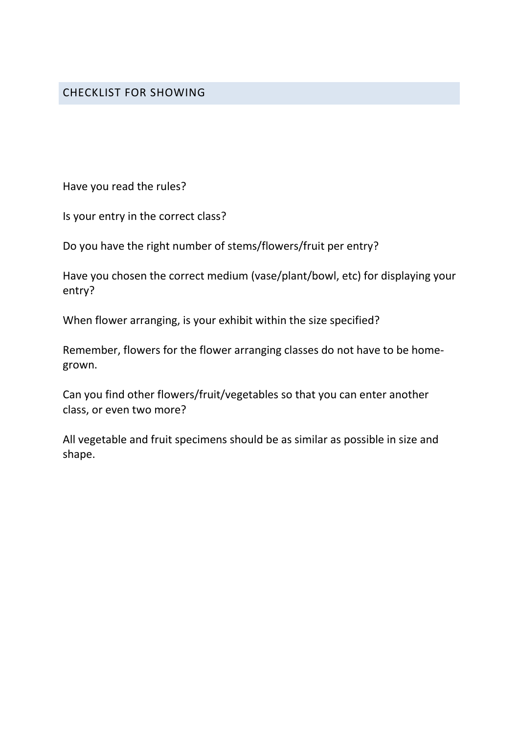Have you read the rules?

Is your entry in the correct class?

Do you have the right number of stems/flowers/fruit per entry?

Have you chosen the correct medium (vase/plant/bowl, etc) for displaying your entry?

When flower arranging, is your exhibit within the size specified?

Remember, flowers for the flower arranging classes do not have to be homegrown.

Can you find other flowers/fruit/vegetables so that you can enter another class, or even two more?

All vegetable and fruit specimens should be as similar as possible in size and shape.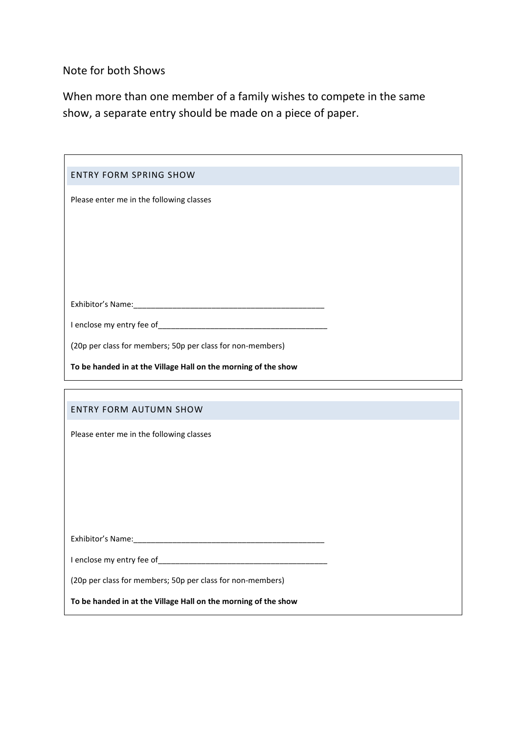Note for both Shows

When more than one member of a family wishes to compete in the same show, a separate entry should be made on a piece of paper.

| <b>ENTRY FORM SPRING SHOW</b>                                  |
|----------------------------------------------------------------|
| Please enter me in the following classes                       |
|                                                                |
|                                                                |
|                                                                |
|                                                                |
|                                                                |
|                                                                |
|                                                                |
| (20p per class for members; 50p per class for non-members)     |
| To be handed in at the Village Hall on the morning of the show |
|                                                                |
|                                                                |
| <b>ENTRY FORM AUTUMN SHOW</b>                                  |
| Please enter me in the following classes                       |
|                                                                |
|                                                                |
|                                                                |
|                                                                |
|                                                                |
|                                                                |

**To be handed in at the Village Hall on the morning of the show**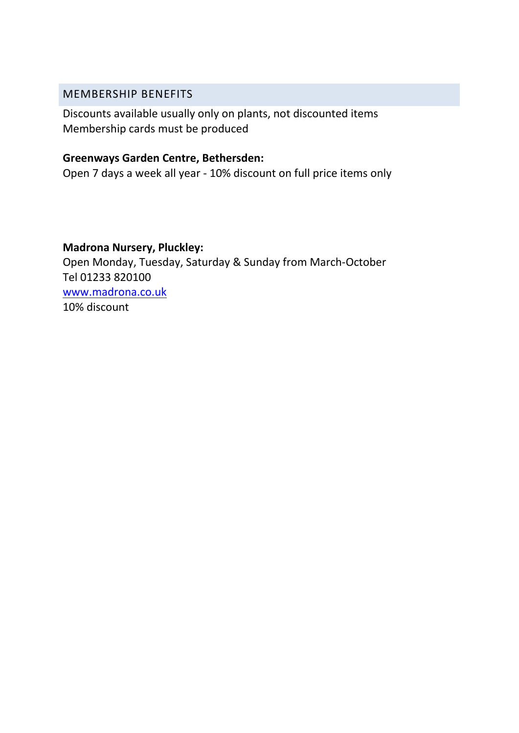### MEMBERSHIP BENEFITS

Discounts available usually only on plants, not discounted items Membership cards must be produced

### **Greenways Garden Centre, Bethersden:**

Open 7 days a week all year - 10% discount on full price items only

# **Madrona Nursery, Pluckley:**

Open Monday, Tuesday, Saturday & Sunday from March-October Tel 01233 820100 [www.madrona.co.uk](http://www.madrona.co.uk/) 10% discount